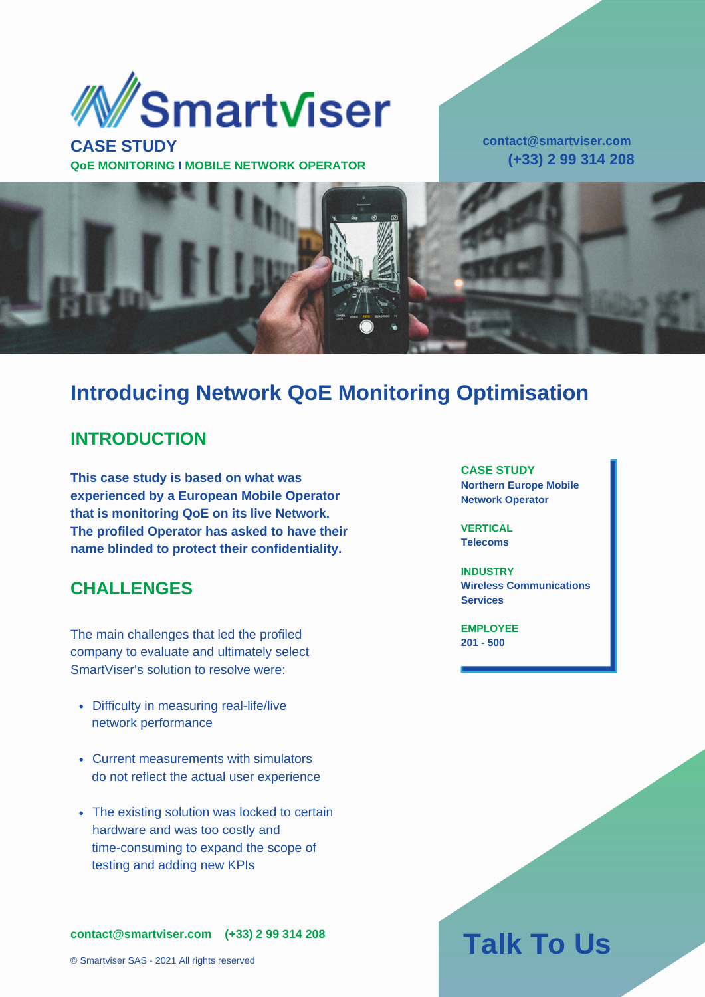

**CASE STUDY QoE MONITORING I MOBILE NETWORK OPERATOR** **contact@smartviser.com (+33) 2 99 314 208**



### **Introducing Network QoE Monitoring Optimisation**

#### **INTRODUCTION**

**This case study is based on what was experienced by a European Mobile Operator that is monitoring QoE on its live Network. The profiled Operator has asked to have their name blinded to protect their confidentiality.**

#### **CHALLENGES**

The main challenges that led the profiled company to evaluate and ultimately select SmartViser's solution to resolve were:

- Difficulty in measuring real-life/live network performance
- Current measurements with simulators do not reflect the actual user experience
- The existing solution was locked to certain hardware and was too costly and time-consuming to expand the scope of testing and adding new KPIs

**contact@smartviser.com (+33) 2 99 314 208**

© Smartviser SAS - 2021 All rights reserved

**CASE STUDY Northern Europe Mobile Network Operator**

**VERTICAL Telecoms**

**INDUSTRY Wireless Communications Services**

**EMPLOYEE 201 - 500**

# **Talk To Us**